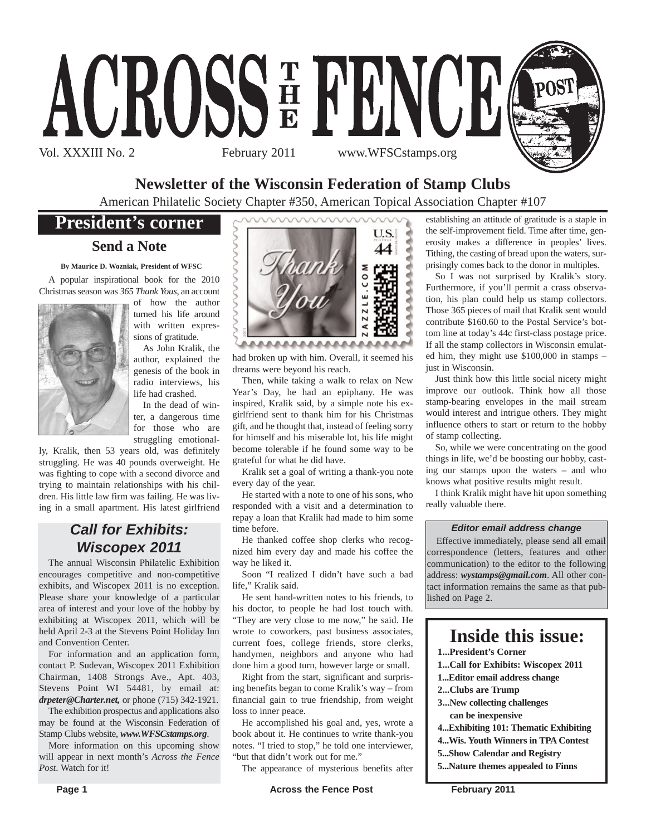

## **Newsletter of the Wisconsin Federation of Stamp Clubs**

American Philatelic Society Chapter #350, American Topical Association Chapter #107

## **President's corner**

### **Send a Note**

#### **By Maurice D. Wozniak, President of WFSC**

A popular inspirational book for the 2010 Christmas season was *365 Thank Yous*, an account



of how the author turned his life around with written expressions of gratitude.

As John Kralik, the author, explained the genesis of the book in radio interviews, his life had crashed.

In the dead of winter, a dangerous time for those who are struggling emotional-

ly, Kralik, then 53 years old, was definitely struggling. He was 40 pounds overweight. He was fighting to cope with a second divorce and trying to maintain relationships with his children. His little law firm was failing. He was living in a small apartment. His latest girlfriend

## *Call for Exhibits: Wiscopex 2011*

The annual Wisconsin Philatelic Exhibition encourages competitive and non-competitive exhibits, and Wiscopex 2011 is no exception. Please share your knowledge of a particular area of interest and your love of the hobby by exhibiting at Wiscopex 2011, which will be held April 2-3 at the Stevens Point Holiday Inn and Convention Center.

For information and an application form, contact P. Sudevan, Wiscopex 2011 Exhibition Chairman, 1408 Strongs Ave., Apt. 403, Stevens Point WI 54481, by email at: *drpeter@Charter.net,* or phone (715) 342-1921.

The exhibition prospectus and applications also may be found at the Wisconsin Federation of Stamp Clubs website, *www.WFSCstamps.org*.

More information on this upcoming show will appear in next month's *Across the Fence Post*. Watch for it!



had broken up with him. Overall, it seemed his dreams were beyond his reach.

Then, while taking a walk to relax on New Year's Day, he had an epiphany. He was inspired, Kralik said, by a simple note his exgirlfriend sent to thank him for his Christmas gift, and he thought that, instead of feeling sorry for himself and his miserable lot, his life might become tolerable if he found some way to be grateful for what he did have.

Kralik set a goal of writing a thank-you note every day of the year.

He started with a note to one of his sons, who responded with a visit and a determination to repay a loan that Kralik had made to him some time before.

He thanked coffee shop clerks who recognized him every day and made his coffee the way he liked it.

Soon "I realized I didn't have such a bad life," Kralik said.

He sent hand-written notes to his friends, to his doctor, to people he had lost touch with. "They are very close to me now," he said. He wrote to coworkers, past business associates, current foes, college friends, store clerks, handymen, neighbors and anyone who had done him a good turn, however large or small.

Right from the start, significant and surprising benefits began to come Kralik's way – from financial gain to true friendship, from weight loss to inner peace.

He accomplished his goal and, yes, wrote a book about it. He continues to write thank-you notes. "I tried to stop," he told one interviewer, "but that didn't work out for me."

The appearance of mysterious benefits after

establishing an attitude of gratitude is a staple in the self-improvement field. Time after time, generosity makes a difference in peoples' lives. Tithing, the casting of bread upon the waters, surprisingly comes back to the donor in multiples.

So I was not surprised by Kralik's story. Furthermore, if you'll permit a crass observation, his plan could help us stamp collectors. Those 365 pieces of mail that Kralik sent would contribute \$160.60 to the Postal Service's bottom line at today's 44c first-class postage price. If all the stamp collectors in Wisconsin emulated him, they might use \$100,000 in stamps – just in Wisconsin.

Just think how this little social nicety might improve our outlook. Think how all those stamp-bearing envelopes in the mail stream would interest and intrigue others. They might influence others to start or return to the hobby of stamp collecting.

So, while we were concentrating on the good things in life, we'd be boosting our hobby, casting our stamps upon the waters – and who knows what positive results might result.

I think Kralik might have hit upon something really valuable there.

#### *Editor email address change*

Effective immediately, please send all email correspondence (letters, features and other communication) to the editor to the following address: *wystamps@gmail.com*. All other contact information remains the same as that published on Page 2.

## **Inside this issue:**

- **1...President's Corner**
- **1...Call for Exhibits: Wiscopex 2011**
- **1...Editor email address change**
- **2...Clubs are Trump**
- **3...New collecting challenges can be inexpensive**
- **4...Exhibiting 101: Thematic Exhibiting**
- **4...Wis. Youth Winners in TPA Contest**
- **5...Show Calendar and Registry**
- **5...Nature themes appealed to Finns**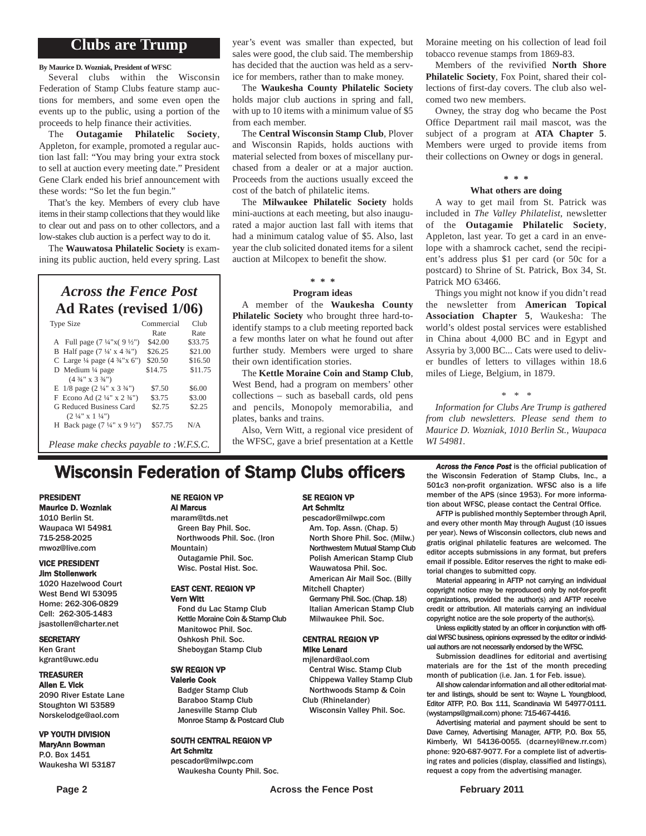### **Clubs are Trump**

**By Maurice D. Wozniak, President of WFSC**

Several clubs within the Wisconsin Federation of Stamp Clubs feature stamp auctions for members, and some even open the events up to the public, using a portion of the proceeds to help finance their activities.

The **Outagamie Philatelic Society**, Appleton, for example, promoted a regular auction last fall: "You may bring your extra stock to sell at auction every meeting date." President Gene Clark ended his brief announcement with these words: "So let the fun begin."

That's the key. Members of every club have items in their stamp collections that they would like to clear out and pass on to other collectors, and a low-stakes club auction is a perfect way to do it.

The **Wauwatosa Philatelic Society** is examining its public auction, held every spring. Last

### *Across the Fence Post* **Ad Rates (revised 1/06)**

| <b>Type Size</b>                                   | Commercial<br>Rate | Club<br>Rate |
|----------------------------------------------------|--------------------|--------------|
| A Full page $(7\frac{1}{4}x)(9\frac{1}{2}x)$       | \$42.00            | \$33.75      |
|                                                    |                    |              |
| B Half page $(7\frac{1}{4} \times 4\frac{3}{4})$   | \$26.25            | \$21.00      |
| C Large $\frac{1}{4}$ page $(4 \frac{3}{4} x 6")$  | \$20.50            | \$16.50      |
| D Medium 1/4 page                                  | \$14.75            | \$11.75      |
| $(4\frac{3}{4}$ " x 3 $\frac{3}{4}$ ")             |                    |              |
| E $1/8$ page $(2\frac{1}{4}$ " x $3\frac{3}{4}$ ") | \$7.50             | \$6.00       |
| F Econo Ad $(2\frac{1}{4}$ " x $2\frac{3}{4}$ ")   | \$3.75             | \$3.00       |
| G Reduced Business Card                            | \$2.75             | \$2.25       |
| $(2 \frac{1}{4}$ " x $1 \frac{1}{4}$ ")            |                    |              |
| H Back page $(7\frac{1}{4}$ " x 9 $\frac{1}{2}$ ") | \$57.75            | N/A          |
|                                                    |                    |              |
| <i>Please make checks payable to :W.F.S.C.</i>     |                    |              |

year's event was smaller than expected, but sales were good, the club said. The membership has decided that the auction was held as a service for members, rather than to make money.

The **Waukesha County Philatelic Society** holds major club auctions in spring and fall, with up to 10 items with a minimum value of \$5 from each member.

The **Central Wisconsin Stamp Club**, Plover and Wisconsin Rapids, holds auctions with material selected from boxes of miscellany purchased from a dealer or at a major auction. Proceeds from the auctions usually exceed the cost of the batch of philatelic items.

The **Milwaukee Philatelic Society** holds mini-auctions at each meeting, but also inaugurated a major auction last fall with items that had a minimum catalog value of \$5. Also, last year the club solicited donated items for a silent auction at Milcopex to benefit the show.

### **\* \* \***

#### **Program ideas**

A member of the **Waukesha County Philatelic Society** who brought three hard-toidentify stamps to a club meeting reported back a few months later on what he found out after further study. Members were urged to share their own identification stories.

The **Kettle Moraine Coin and Stamp Club**, West Bend, had a program on members' other collections – such as baseball cards, old pens and pencils, Monopoly memorabilia, and plates, banks and trains.

Also, Vern Witt, a regional vice president of the WFSC, gave a brief presentation at a Kettle

Moraine meeting on his collection of lead foil tobacco revenue stamps from 1869-83.

Members of the revivified **North Shore Philatelic Society**, Fox Point, shared their collections of first-day covers. The club also welcomed two new members.

Owney, the stray dog who became the Post Office Department rail mail mascot, was the subject of a program at **ATA Chapter 5**. Members were urged to provide items from their collections on Owney or dogs in general.

## **\* \* \***

#### **What others are doing**

A way to get mail from St. Patrick was included in *The Valley Philatelist*, newsletter of the **Outagamie Philatelic Society**, Appleton, last year. To get a card in an envelope with a shamrock cachet, send the recipient's address plus \$1 per card (or 50c for a postcard) to Shrine of St. Patrick, Box 34, St. Patrick MO 63466.

Things you might not know if you didn't read the newsletter from **American Topical Association Chapter 5**, Waukesha: The world's oldest postal services were established in China about 4,000 BC and in Egypt and Assyria by 3,000 BC... Cats were used to deliver bundles of letters to villages within 18.6 miles of Liege, Belgium, in 1879.

*\* \* \**

*Information for Clubs Are Trump is gathered from club newsletters. Please send them to Maurice D. Wozniak, 1010 Berlin St., Waupaca WI 54981.*

## **Wisconsin Federation of Stamp Clubs officers** *Across the Fence Post* is the official publication of stamp Clubs, Inc., a

#### PRESIDENT Maurice D. Wozniak

1010 Berlin St. Waupaca WI 54981 715-258-2025 mwoz@live.com

#### VICE PRESIDENT Jim Stollenwerk

#### 1020 Hazelwood Court

West Bend WI 53095 Home: 262-306-0829 Cell: 262-305-1483 jsastollen@charter.net

#### **SECRETARY**

Ken Grant kgrant@uwc.edu

#### TREASURER

Allen E. Vick 2090 River Estate Lane Stoughton WI 53589 Norskelodge@aol.com

#### VP YOUTH DIVISION MaryAnn Bowman

P.O. Box 1451 Waukesha WI 53187

#### NE REGION VP Al Marcus

maram@tds.net Green Bay Phil. Soc. Northwoods Phil. Soc. (Iron Mountain) Outagamie Phil. Soc. Wisc. Postal Hist. Soc.

#### EAST CENT. REGION VP Vern Witt

Fond du Lac Stamp Club Kettle Moraine Coin & Stamp Club Manitowoc Phil. Soc. Oshkosh Phil. Soc. Sheboygan Stamp Club

## SW REGION VP

Badger Stamp Club Baraboo Stamp Club Janesville Stamp Club

#### SE REGION VP Art Schmitz

pescador@milwpc.com Am. Top. Assn. (Chap. 5) North Shore Phil. Soc. (Milw.) Northwestern Mutual Stamp Club Polish American Stamp Club Wauwatosa Phil. Soc. American Air Mail Soc. (Billy

Mitchell Chapter)

Germany Phil. Soc. (Chap. 18) Italian American Stamp Club Milwaukee Phil. Soc.

#### CENTRAL REGION VP Mike Lenard

mjlenard@aol.com Central Wisc. Stamp Club Chippewa Valley Stamp Club Northwoods Stamp & Coin Club (Rhinelander)

Wisconsin Valley Phil. Soc.

the Wisconsin Federation of Stamp Clubs, Inc., a 501c3 non-profit organization. WFSC also is a life member of the APS (since 1953). For more information about WFSC, please contact the Central Office. AFTP is published monthly September through April,

and every other month May through August (10 issues per year). News of Wisconsin collectors, club news and gratis original philatelic features are welcomed. The editor accepts submissions in any format, but prefers email if possible. Editor reserves the right to make editorial changes to submitted copy.

Material appearing in AFTP not carrying an individual copyright notice may be reproduced only by not-for-profit organizations, provided the author(s) and AFTP receive credit or attribution. All materials carrying an individual copyright notice are the sole property of the author(s).

Unless explicitly stated by an officer in conjunction with official WFSC business, opinions expressed by the editor or individual authors are not necessarily endorsed by the WFSC.

Submission deadlines for editorial and avertising materials are for the 1st of the month preceding month of publication (i.e. Jan. 1 for Feb. issue).

All show calendar information and all other editorial matter and listings, should be sent to: Wayne L. Youngblood, Editor ATFP, P.O. Box 111, Scandinavia WI 54977-0111. (wystamps@gmail.com) phone: 715-467-4416.

Advertising material and payment should be sent to Dave Carney, Advertising Manager, AFTP, P.O. Box 55, Kimberly, WI 54136-0055. (dcarneyl@new.rr.com) phone: 920-687-9077. For a complete list of advertising rates and policies (display, classified and listings), request a copy from the advertising manager.

### Valerie Cook

Art Schmitz

Monroe Stamp & Postcard Club

SOUTH CENTRAL REGION VP

pescador@milwpc.com Waukesha County Phil. Soc.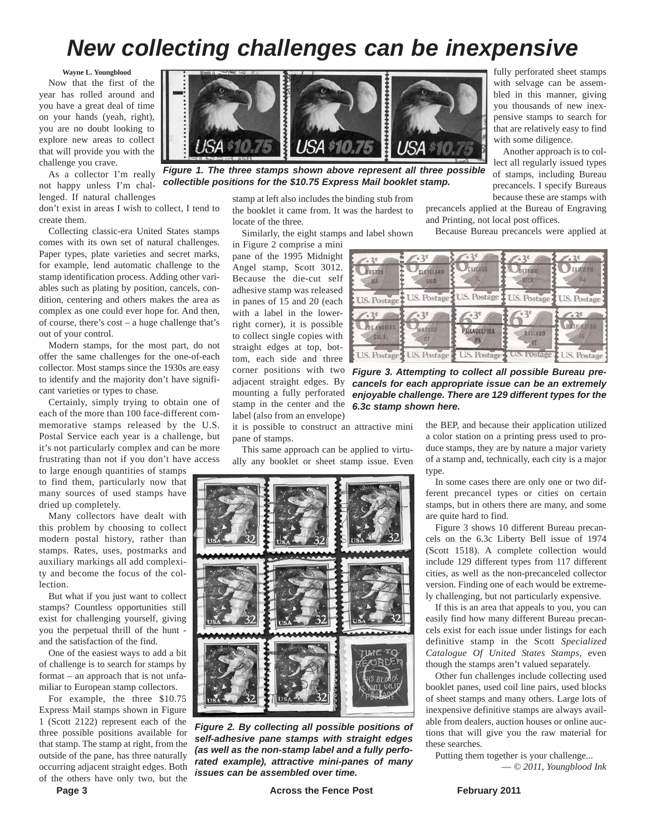## *New collecting challenges can be inexpensive*

**Wayne L. Youngblood**

Now that the first of the year has rolled around and you have a great deal of time on your hands (yeah, right), you are no doubt looking to explore new areas to collect that will provide you with the challenge you crave.

As a collector I'm really not happy unless I'm challenged. If natural challenges

don't exist in areas I wish to collect, I tend to create them.

Collecting classic-era United States stamps comes with its own set of natural challenges. Paper types, plate varieties and secret marks, for example, lend automatic challenge to the stamp identification process. Adding other variables such as plating by position, cancels, condition, centering and others makes the area as complex as one could ever hope for. And then, of course, there's cost – a huge challenge that's out of your control.

Modern stamps, for the most part, do not offer the same challenges for the one-of-each collector. Most stamps since the 1930s are easy to identify and the majority don't have significant varieties or types to chase.

Certainly, simply trying to obtain one of each of the more than 100 face-different commemorative stamps released by the U.S. Postal Service each year is a challenge, but it's not particularly complex and can be more frustrating than not if you don't have access

to large enough quantities of stamps to find them, particularly now that many sources of used stamps have dried up completely.

Many collectors have dealt with this problem by choosing to collect modern postal history, rather than stamps. Rates, uses, postmarks and auxiliary markings all add complexity and become the focus of the col**lection** 

But what if you just want to collect stamps? Countless opportunities still exist for challenging yourself, giving you the perpetual thrill of the hunt and the satisfaction of the find.

One of the easiest ways to add a bit of challenge is to search for stamps by format – an approach that is not unfamiliar to European stamp collectors.

For example, the three \$10.75 Express Mail stamps shown in Figure 1 (Scott 2122) represent each of the three possible positions available for that stamp. The stamp at right, from the outside of the pane, has three naturally occurring adjacent straight edges. Both of the others have only two, but the



*Figure 1. The three stamps shown above represent all three possible collectible positions for the \$10.75 Express Mail booklet stamp.*

stamp at left also includes the binding stub from the booklet it came from. It was the hardest to locate of the three.

Similarly, the eight stamps and label shown

in Figure 2 comprise a mini pane of the 1995 Midnight Angel stamp, Scott 3012. Because the die-cut self adhesive stamp was released in panes of 15 and 20 (each with a label in the lowerright corner), it is possible to collect single copies with straight edges at top, bottom, each side and three corner positions with two adjacent straight edges. By mounting a fully perforated stamp in the center and the label (also from an envelope)

*6.3c stamp shown here.*

it is possible to construct an attractive mini pane of stamps.

This same approach can be applied to virtually any booklet or sheet stamp issue. Even



*Figure 2. By collecting all possible positions of self-adhesive pane stamps with straight edges (as well as the non-stamp label and a fully perforated example), attractive mini-panes of many issues can be assembled over time.*

fully perforated sheet stamps with selvage can be assembled in this manner, giving you thousands of new inexpensive stamps to search for that are relatively easy to find with some diligence.

Another approach is to collect all regularly issued types of stamps, including Bureau precancels. I specify Bureaus because these are stamps with

precancels applied at the Bureau of Engraving and Printing, not local post offices.

Because Bureau precancels were applied at



*Figure 3. Attempting to collect all possible Bureau precancels for each appropriate issue can be an extremely enjoyable challenge. There are 129 different types for the*

the BEP, and because their application utilized a color station on a printing press used to produce stamps, they are by nature a major variety of a stamp and, technically, each city is a major type.

In some cases there are only one or two different precancel types or cities on certain stamps, but in others there are many, and some are quite hard to find.

Figure 3 shows 10 different Bureau precancels on the 6.3c Liberty Bell issue of 1974 (Scott 1518). A complete collection would include 129 different types from 117 different cities, as well as the non-precanceled collector version. Finding one of each would be extremely challenging, but not particularly expensive.

If this is an area that appeals to you, you can easily find how many different Bureau precancels exist for each issue under listings for each definitive stamp in the Scott *Specialized Catalogue Of United States Stamps*, even though the stamps aren't valued separately.

Other fun challenges include collecting used booklet panes, used coil line pairs, used blocks of sheet stamps and many others. Large lots of inexpensive definitive stamps are always available from dealers, auction houses or online auctions that will give you the raw material for these searches.

Putting them together is your challenge...

— *© 2011, Youngblood Ink*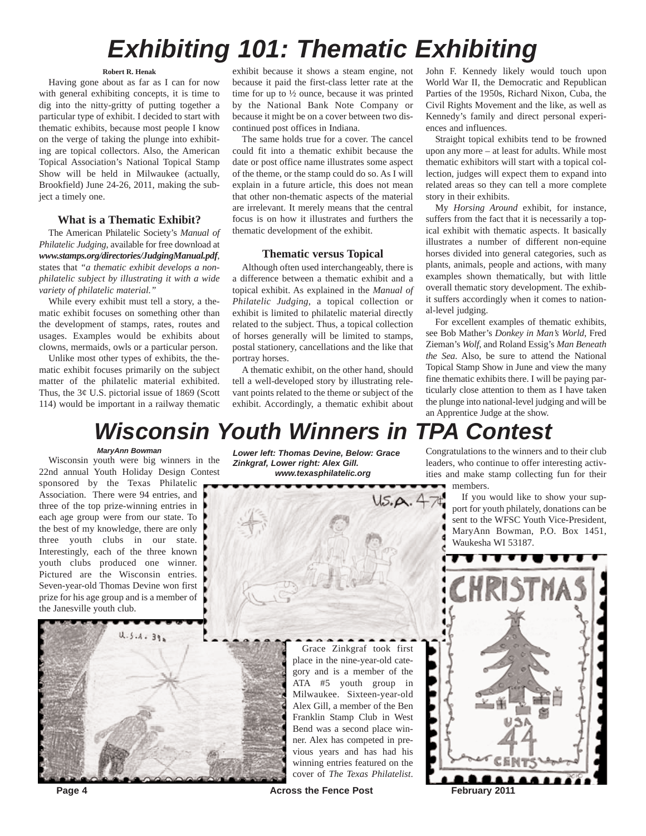# *Exhibiting 101: Thematic Exhibiting*

#### **Robert R. Henak**

Having gone about as far as I can for now with general exhibiting concepts, it is time to dig into the nitty-gritty of putting together a particular type of exhibit. I decided to start with thematic exhibits, because most people I know on the verge of taking the plunge into exhibiting are topical collectors. Also, the American Topical Association's National Topical Stamp Show will be held in Milwaukee (actually, Brookfield) June 24-26, 2011, making the subject a timely one.

#### **What is a Thematic Exhibit?**

The American Philatelic Society's *Manual of Philatelic Judging*, available for free download at *www.stamps.org/directories/JudgingManual.pdf*, states that *"a thematic exhibit develops a nonphilatelic subject by illustrating it with a wide variety of philatelic material."*

While every exhibit must tell a story, a thematic exhibit focuses on something other than the development of stamps, rates, routes and usages. Examples would be exhibits about clowns, mermaids, owls or a particular person.

Unlike most other types of exhibits, the thematic exhibit focuses primarily on the subject matter of the philatelic material exhibited. Thus, the  $3¢$  U.S. pictorial issue of 1869 (Scott 114) would be important in a railway thematic

exhibit because it shows a steam engine, not because it paid the first-class letter rate at the time for up to ½ ounce, because it was printed by the National Bank Note Company or because it might be on a cover between two discontinued post offices in Indiana.

The same holds true for a cover. The cancel could fit into a thematic exhibit because the date or post office name illustrates some aspect of the theme, or the stamp could do so. As I will explain in a future article, this does not mean that other non-thematic aspects of the material are irrelevant. It merely means that the central focus is on how it illustrates and furthers the thematic development of the exhibit.

#### **Thematic versus Topical**

Although often used interchangeably, there is a difference between a thematic exhibit and a topical exhibit. As explained in the *Manual of Philatelic Judging*, a topical collection or exhibit is limited to philatelic material directly related to the subject. Thus, a topical collection of horses generally will be limited to stamps, postal stationery, cancellations and the like that portray horses.

A thematic exhibit, on the other hand, should tell a well-developed story by illustrating relevant points related to the theme or subject of the exhibit. Accordingly, a thematic exhibit about John F. Kennedy likely would touch upon World War II, the Democratic and Republican Parties of the 1950s, Richard Nixon, Cuba, the Civil Rights Movement and the like, as well as Kennedy's family and direct personal experiences and influences.

Straight topical exhibits tend to be frowned upon any more – at least for adults. While most thematic exhibitors will start with a topical collection, judges will expect them to expand into related areas so they can tell a more complete story in their exhibits.

My *Horsing Around* exhibit, for instance, suffers from the fact that it is necessarily a topical exhibit with thematic aspects. It basically illustrates a number of different non-equine horses divided into general categories, such as plants, animals, people and actions, with many examples shown thematically, but with little overall thematic story development. The exhibit suffers accordingly when it comes to national-level judging.

For excellent examples of thematic exhibits, see Bob Mather's *Donkey in Man's World*, Fred Zieman's *Wolf*, and Roland Essig's *Man Beneath the Sea*. Also, be sure to attend the National Topical Stamp Show in June and view the many fine thematic exhibits there. I will be paying particularly close attention to them as I have taken the plunge into national-level judging and will be an Apprentice Judge at the show.

## *Wisconsin Youth Winners in TPA Contest*

#### *MaryAnn Bowman*

Wisconsin youth were big winners in the 22nd annual Youth Holiday Design Contest

sponsored by the Texas Philatelic Association. There were 94 entries, and three of the top prize-winning entries in each age group were from our state. To the best of my knowledge, there are only three youth clubs in our state. Interestingly, each of the three known youth clubs produced one winner. Pictured are the Wisconsin entries. Seven-year-old Thomas Devine won first prize for his age group and is a member of the Janesville youth club.



*Lower left: Thomas Devine, Below: Grace Zinkgraf, Lower right: Alex Gill. www.texasphilatelic.org*



 $US.A.47$ 

Congratulations to the winners and to their club leaders, who continue to offer interesting activities and make stamp collecting fun for their members.

> If you would like to show your support for youth philately, donations can be sent to the WFSC Youth Vice-President, MaryAnn Bowman, P.O. Box 1451, Waukesha WI 53187.



**Page 4 Across the Fence Post** February 2011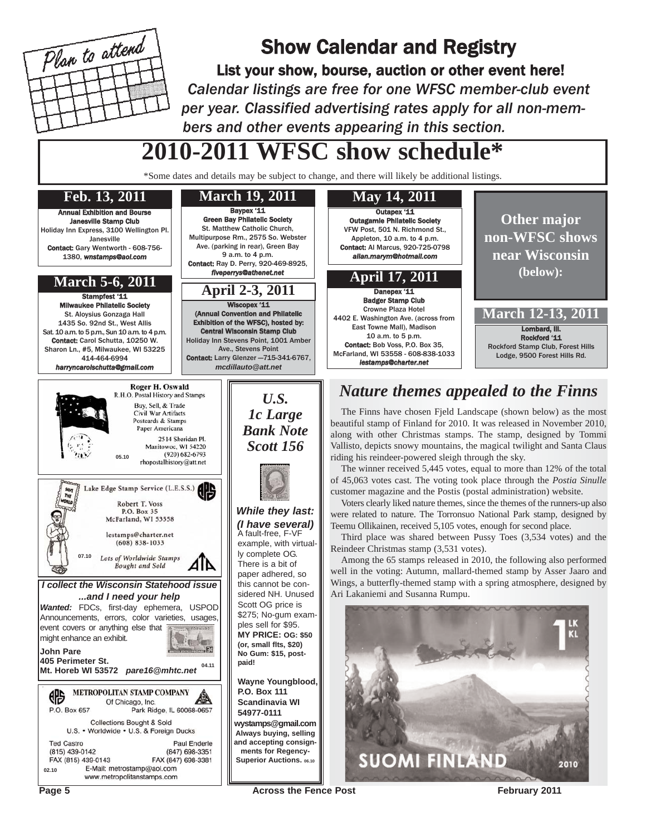

## Show Calendar and Registry

List your show, bourse, auction or other event here! *Calendar listings are free for one WFSC member-club event per year. Classified advertising rates apply for all non-members and other events appearing in this section.*

# **2010-2011 WFSC show schedule\***

\*Some dates and details may be subject to change, and there will likely be additional listings.